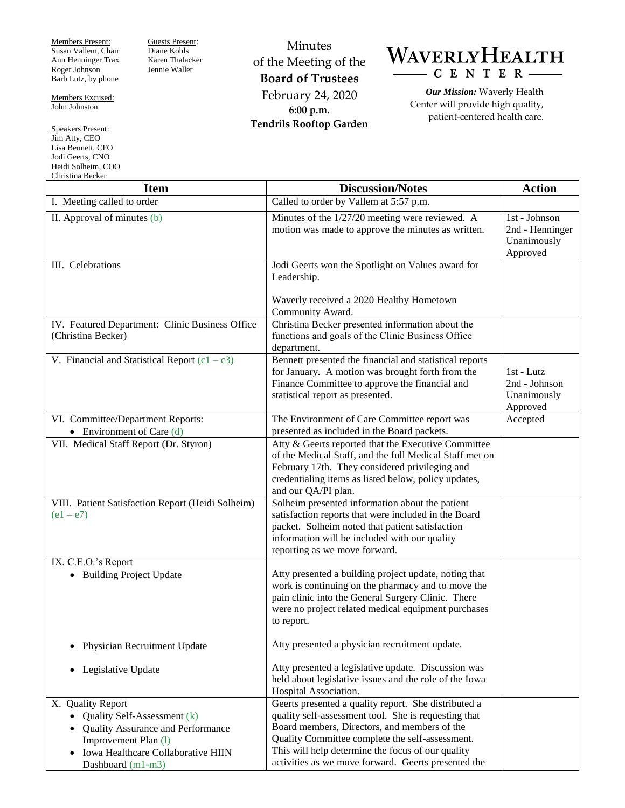Members Present: Susan Vallem, Chair Ann Henninger Trax Roger Johnson Barb Lutz, by phone

Members Excused: John Johnston

Speakers Present: Jim Atty, CEO Lisa Bennett, CFO Jodi Geerts, CNO Heidi Solheim, COO Christina Becker

Guests Present: Diane Kohls Karen Thalacker Jennie Waller

Minutes of the Meeting of the **Board of Trustees** February 24, 2020 **6:00 p.m. Tendrils Rooftop Garden**



*Our Mission:* Waverly Health Center will provide high quality, patient-centered health care.

| Unrisuna becker<br><b>Item</b>                                                                                                                                           | <b>Discussion/Notes</b>                                                                                                                                                                                                                                                                                                     | <b>Action</b>                                                            |
|--------------------------------------------------------------------------------------------------------------------------------------------------------------------------|-----------------------------------------------------------------------------------------------------------------------------------------------------------------------------------------------------------------------------------------------------------------------------------------------------------------------------|--------------------------------------------------------------------------|
| I. Meeting called to order                                                                                                                                               | Called to order by Vallem at 5:57 p.m.                                                                                                                                                                                                                                                                                      |                                                                          |
| II. Approval of minutes (b)                                                                                                                                              | Minutes of the 1/27/20 meeting were reviewed. A<br>motion was made to approve the minutes as written.                                                                                                                                                                                                                       | $\overline{1st}$ - Johnson<br>2nd - Henninger<br>Unanimously<br>Approved |
| III. Celebrations                                                                                                                                                        | Jodi Geerts won the Spotlight on Values award for<br>Leadership.<br>Waverly received a 2020 Healthy Hometown                                                                                                                                                                                                                |                                                                          |
|                                                                                                                                                                          | Community Award.                                                                                                                                                                                                                                                                                                            |                                                                          |
| IV. Featured Department: Clinic Business Office<br>(Christina Becker)                                                                                                    | Christina Becker presented information about the<br>functions and goals of the Clinic Business Office<br>department.                                                                                                                                                                                                        |                                                                          |
| V. Financial and Statistical Report $(c1 - c3)$                                                                                                                          | Bennett presented the financial and statistical reports<br>for January. A motion was brought forth from the<br>Finance Committee to approve the financial and<br>statistical report as presented.                                                                                                                           | 1st - Lutz<br>2nd - Johnson<br>Unanimously<br>Approved                   |
| VI. Committee/Department Reports:<br>• Environment of Care $(d)$                                                                                                         | The Environment of Care Committee report was<br>presented as included in the Board packets.                                                                                                                                                                                                                                 | Accepted                                                                 |
| VII. Medical Staff Report (Dr. Styron)                                                                                                                                   | Atty & Geerts reported that the Executive Committee<br>of the Medical Staff, and the full Medical Staff met on<br>February 17th. They considered privileging and<br>credentialing items as listed below, policy updates,<br>and our QA/PI plan.                                                                             |                                                                          |
| VIII. Patient Satisfaction Report (Heidi Solheim)<br>$(e1 - e7)$                                                                                                         | Solheim presented information about the patient<br>satisfaction reports that were included in the Board<br>packet. Solheim noted that patient satisfaction<br>information will be included with our quality<br>reporting as we move forward.                                                                                |                                                                          |
| IX. C.E.O.'s Report                                                                                                                                                      |                                                                                                                                                                                                                                                                                                                             |                                                                          |
| • Building Project Update                                                                                                                                                | Atty presented a building project update, noting that<br>work is continuing on the pharmacy and to move the<br>pain clinic into the General Surgery Clinic. There<br>were no project related medical equipment purchases<br>to report.                                                                                      |                                                                          |
| Physician Recruitment Update                                                                                                                                             | Atty presented a physician recruitment update.                                                                                                                                                                                                                                                                              |                                                                          |
| Legislative Update<br>$\bullet$                                                                                                                                          | Atty presented a legislative update. Discussion was<br>held about legislative issues and the role of the Iowa<br>Hospital Association.                                                                                                                                                                                      |                                                                          |
| X. Quality Report<br>Quality Self-Assessment (k)<br>Quality Assurance and Performance<br>Improvement Plan (1)<br>Iowa Healthcare Collaborative HIIN<br>Dashboard (m1-m3) | Geerts presented a quality report. She distributed a<br>quality self-assessment tool. She is requesting that<br>Board members, Directors, and members of the<br>Quality Committee complete the self-assessment.<br>This will help determine the focus of our quality<br>activities as we move forward. Geerts presented the |                                                                          |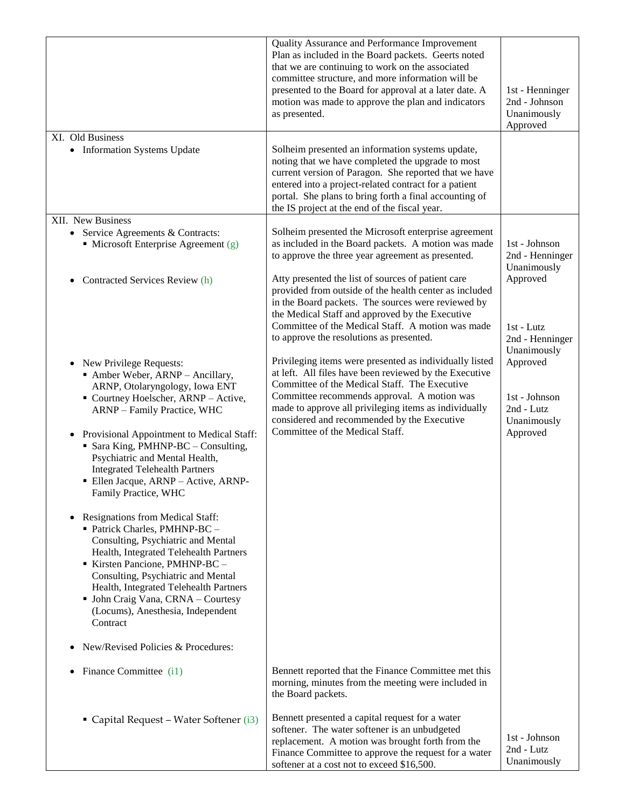|                                                                                                                                                                                                                                                                                                                                                                                                                                                                                                                                                                                                                                                                                                                                                                                                                                          | Quality Assurance and Performance Improvement<br>Plan as included in the Board packets. Geerts noted<br>that we are continuing to work on the associated<br>committee structure, and more information will be<br>presented to the Board for approval at a later date. A<br>motion was made to approve the plan and indicators<br>as presented.               | 1st - Henninger<br>2nd - Johnson<br>Unanimously<br>Approved                       |
|------------------------------------------------------------------------------------------------------------------------------------------------------------------------------------------------------------------------------------------------------------------------------------------------------------------------------------------------------------------------------------------------------------------------------------------------------------------------------------------------------------------------------------------------------------------------------------------------------------------------------------------------------------------------------------------------------------------------------------------------------------------------------------------------------------------------------------------|--------------------------------------------------------------------------------------------------------------------------------------------------------------------------------------------------------------------------------------------------------------------------------------------------------------------------------------------------------------|-----------------------------------------------------------------------------------|
| XI. Old Business<br>• Information Systems Update                                                                                                                                                                                                                                                                                                                                                                                                                                                                                                                                                                                                                                                                                                                                                                                         | Solheim presented an information systems update,<br>noting that we have completed the upgrade to most<br>current version of Paragon. She reported that we have<br>entered into a project-related contract for a patient<br>portal. She plans to bring forth a final accounting of<br>the IS project at the end of the fiscal year.                           |                                                                                   |
| XII. New Business                                                                                                                                                                                                                                                                                                                                                                                                                                                                                                                                                                                                                                                                                                                                                                                                                        |                                                                                                                                                                                                                                                                                                                                                              |                                                                                   |
| • Service Agreements $&$ Contracts:<br>• Microsoft Enterprise Agreement $(g)$                                                                                                                                                                                                                                                                                                                                                                                                                                                                                                                                                                                                                                                                                                                                                            | Solheim presented the Microsoft enterprise agreement<br>as included in the Board packets. A motion was made<br>to approve the three year agreement as presented.                                                                                                                                                                                             | 1st - Johnson<br>2nd - Henninger<br>Unanimously                                   |
| Contracted Services Review (h)                                                                                                                                                                                                                                                                                                                                                                                                                                                                                                                                                                                                                                                                                                                                                                                                           | Atty presented the list of sources of patient care<br>provided from outside of the health center as included<br>in the Board packets. The sources were reviewed by<br>the Medical Staff and approved by the Executive<br>Committee of the Medical Staff. A motion was made<br>to approve the resolutions as presented.                                       | Approved<br>1st - Lutz<br>2nd - Henninger                                         |
| New Privilege Requests:<br>$\bullet$<br>• Amber Weber, ARNP - Ancillary,<br>ARNP, Otolaryngology, Iowa ENT<br>• Courtney Hoelscher, ARNP - Active,<br>ARNP - Family Practice, WHC<br>Provisional Appointment to Medical Staff:<br>$\bullet$<br>Sara King, PMHNP-BC - Consulting,<br>Psychiatric and Mental Health,<br><b>Integrated Telehealth Partners</b><br>• Ellen Jacque, ARNP - Active, ARNP-<br>Family Practice, WHC<br>Resignations from Medical Staff:<br>Patrick Charles, PMHNP-BC -<br>Consulting, Psychiatric and Mental<br>Health, Integrated Telehealth Partners<br>Kirsten Pancione, PMHNP-BC -<br>Consulting, Psychiatric and Mental<br>Health, Integrated Telehealth Partners<br>• John Craig Vana, CRNA - Courtesy<br>(Locums), Anesthesia, Independent<br>Contract<br>New/Revised Policies & Procedures:<br>$\bullet$ | Privileging items were presented as individually listed<br>at left. All files have been reviewed by the Executive<br>Committee of the Medical Staff. The Executive<br>Committee recommends approval. A motion was<br>made to approve all privileging items as individually<br>considered and recommended by the Executive<br>Committee of the Medical Staff. | Unanimously<br>Approved<br>1st - Johnson<br>2nd - Lutz<br>Unanimously<br>Approved |
| Finance Committee (i1)<br>٠                                                                                                                                                                                                                                                                                                                                                                                                                                                                                                                                                                                                                                                                                                                                                                                                              | Bennett reported that the Finance Committee met this<br>morning, minutes from the meeting were included in<br>the Board packets.                                                                                                                                                                                                                             |                                                                                   |
| • Capital Request – Water Softener (i3)                                                                                                                                                                                                                                                                                                                                                                                                                                                                                                                                                                                                                                                                                                                                                                                                  | Bennett presented a capital request for a water<br>softener. The water softener is an unbudgeted<br>replacement. A motion was brought forth from the<br>Finance Committee to approve the request for a water<br>softener at a cost not to exceed \$16,500.                                                                                                   | 1st - Johnson<br>2nd - Lutz<br>Unanimously                                        |